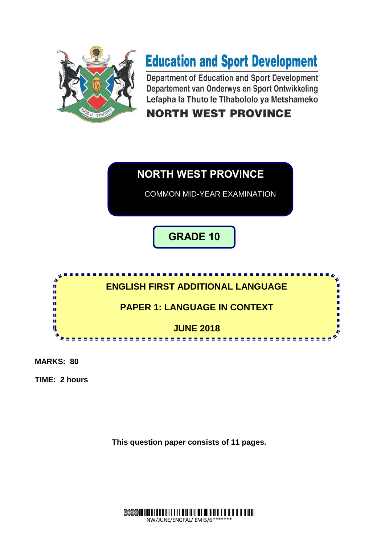

# **Education and Sport Development**

Department of Education and Sport Development Departement van Onderwys en Sport Ontwikkeling Lefapha la Thuto le Tlhabololo ya Metshameko

# **NORTH WEST PROVINCE**



**MARKS: 80**

**TIME: 2 hours**

**This question paper consists of 11 pages.**

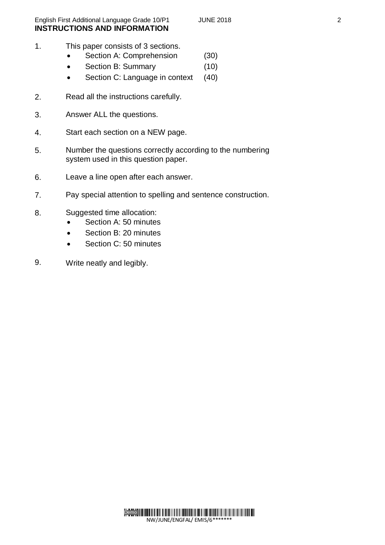- 1. This paper consists of 3 sections.
	- Section A: Comprehension (30)
	- Section B: Summary (10)
	- Section C: Language in context (40)
- $\mathcal{P}$ Read all the instructions carefully.
- 3. Answer ALL the questions.
- 4. Start each section on a NEW page.
- 5. Number the questions correctly according to the numbering system used in this question paper.
- 6. Leave a line open after each answer.
- 7. Pay special attention to spelling and sentence construction.
- 8. Suggested time allocation:
	- Section A: 50 minutes
	- Section B: 20 minutes
	- Section C: 50 minutes
- 9. Write neatly and legibly.

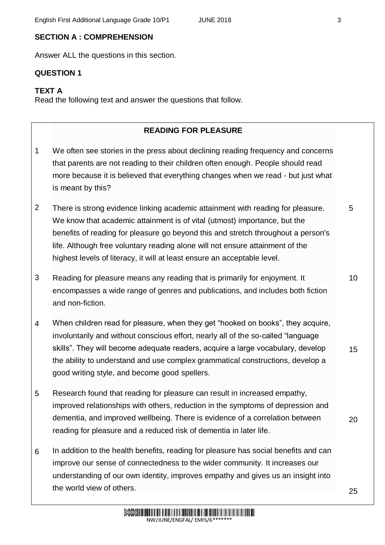# **SECTION A : COMPREHENSION**

Answer ALL the questions in this section.

#### **QUESTION 1**

#### **TEXT A**

Read the following text and answer the questions that follow.

#### **READING FOR PLEASURE**

- 1 We often see stories in the press about [declining reading frequency](http://www.theguardian.com/books/2015/jan/09/decline-children-reading-pleasure-survey) and concerns that [parents are not reading to their children often enough.](http://www.telegraph.co.uk/men/relationships/fatherhood/11658757/Children-arent-reading-enough-books-and-dads-are-to-blame.html) People should read more because it is believed that everything changes when we read - but just what is meant by this?
- 2 There is [strong evidence](http://www.oecd.org/pisa/pisaproducts/48852630.pdf) linking academic attainment with reading for pleasure. We know that academic attainment is of vital (utmost) importance, but the benefits of reading for pleasure go beyond this and stretch throughout a person's life. Although free voluntary reading alone will not ensure attainment of the highest levels of literacy, it will at least ensure an acceptable level.
- 3 Reading for pleasure means any reading that is primarily for enjoyment. It encompasses a wide range of genres and publications, and includes both fiction and non-fiction.
- 4 When children read for pleasure, when they get "hooked on books", they acquire, involuntarily and without conscious effort, nearly all of the so-called "language skills". They will become adequate readers, acquire a large vocabulary, develop the ability to understand and use complex grammatical constructions, develop a good writing style, and become good spellers.
- 5 Research found that reading for pleasure can result in increased empathy, improved relationships with others, reduction in the symptoms of depression and dementia, and improved wellbeing. There is evidence of a correlation between reading for pleasure and a reduced risk of dementia in later life.
- 6 In addition to the health benefits, reading for pleasure has social benefits and can improve our sense of connectedness to the wider community. It increases our understanding of our own identity, improves empathy and gives us an insight into the world view of others.

5

10

15

20

25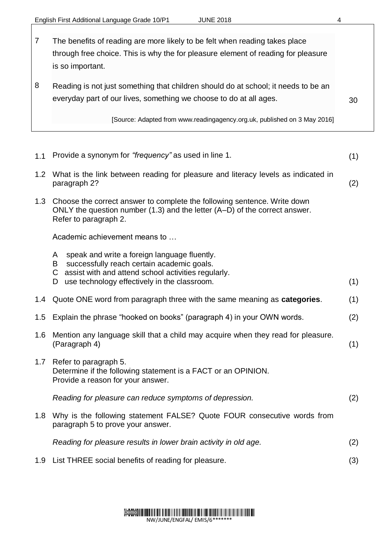7 8 The benefits of reading are more likely to be felt when reading takes place through free choice. This is why the for pleasure element of reading for pleasure is so important. Reading is not just something that children should do at school; it needs to be an everyday part of our lives, something we choose to do at all ages. [Source: Adapted from [www.readingagency.org.uk,](http://www.readingagency.org.uk/) published on 3 May 2016] 30

| 1.1 | Provide a synonym for "frequency" as used in line 1.                                                                                                                            | (1) |
|-----|---------------------------------------------------------------------------------------------------------------------------------------------------------------------------------|-----|
| 1.2 | What is the link between reading for pleasure and literacy levels as indicated in<br>paragraph 2?                                                                               | (2) |
| 1.3 | Choose the correct answer to complete the following sentence. Write down<br>ONLY the question number (1.3) and the letter (A–D) of the correct answer.<br>Refer to paragraph 2. |     |
|     | Academic achievement means to                                                                                                                                                   |     |
|     | speak and write a foreign language fluently.<br>A<br>successfully reach certain academic goals.<br>B<br>C assist with and attend school activities regularly.                   |     |
|     | use technology effectively in the classroom.<br>D                                                                                                                               | (1) |
| 1.4 | Quote ONE word from paragraph three with the same meaning as categories.                                                                                                        | (1) |
| 1.5 | Explain the phrase "hooked on books" (paragraph 4) in your OWN words.                                                                                                           | (2) |
| 1.6 | Mention any language skill that a child may acquire when they read for pleasure.<br>(Paragraph 4)                                                                               | (1) |
| 1.7 | Refer to paragraph 5.<br>Determine if the following statement is a FACT or an OPINION.<br>Provide a reason for your answer.                                                     |     |
|     | Reading for pleasure can reduce symptoms of depression.                                                                                                                         | (2) |
| 1.8 | Why is the following statement FALSE? Quote FOUR consecutive words from<br>paragraph 5 to prove your answer.                                                                    |     |
|     | Reading for pleasure results in lower brain activity in old age.                                                                                                                | (2) |
|     | 1.9 List THREE social benefits of reading for pleasure.                                                                                                                         | (3) |

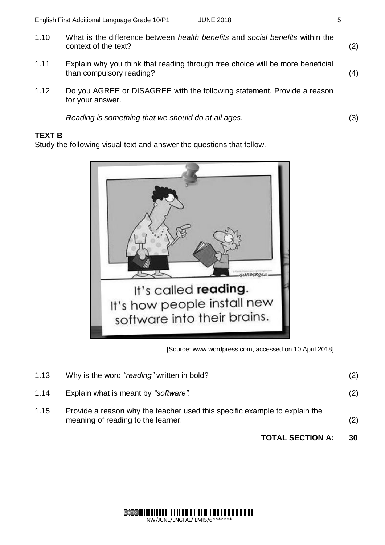- 1.10 What is the difference between *health benefits* and *social benefits* within the context of the text? (2)
- 1.11 Explain why you think that reading through free choice will be more beneficial than compulsory reading? (4)
- 1.12 Do you AGREE or DISAGREE with the following statement. Provide a reason for your answer.

*Reading is something that we should do at all ages.* (3)

## **TEXT B**

Study the following visual text and answer the questions that follow.



[Source: [www.wordpress.com,](http://www.wordpress.com/) accessed on 10 April 2018]

|                                                                                                                          | <b>TOTAL SECTION A:</b>                    | 30  |
|--------------------------------------------------------------------------------------------------------------------------|--------------------------------------------|-----|
| 1.15<br>Provide a reason why the teacher used this specific example to explain the<br>meaning of reading to the learner. |                                            | (2) |
| 1.14                                                                                                                     | Explain what is meant by "software".       | (2) |
| 1.13                                                                                                                     | Why is the word "reading" written in bold? | (2) |

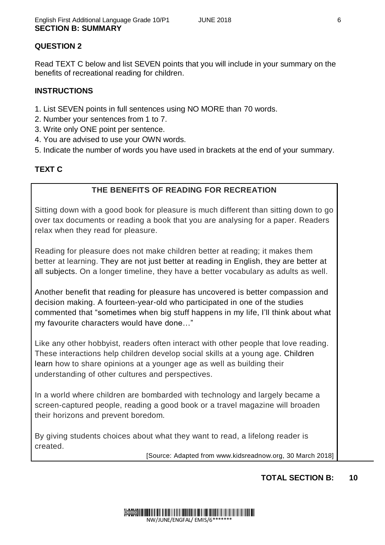# **QUESTION 2**

Read TEXT C below and list SEVEN points that you will include in your summary on the benefits of recreational reading for children.

#### **INSTRUCTIONS**

- 1. List SEVEN points in full sentences using NO MORE than 70 words.
- 2. Number your sentences from 1 to 7.
- 3. Write only ONE point per sentence.
- 4. You are advised to use your OWN words.
- 5. Indicate the number of words you have used in brackets at the end of your summary.

## **TEXT C**

#### **THE BENEFITS OF READING FOR RECREATION**

Sitting down with a good book for pleasure is much different than sitting down to go over tax documents or reading a book that you are analysing for a paper. Readers relax when they read for pleasure.

Reading for pleasure does not make children better at reading; it makes them better at learning. They are not just better at reading in English, they are better at all subjects. On a longer timeline, they have a better vocabulary as adults as well.

Another benefit that reading for pleasure has uncovered is better compassion and decision making. A fourteen-year-old who participated in one of the studies commented that "sometimes when big stuff happens in my life, I'll think about what my favourite characters would have done…"

Like any other hobbyist, readers often interact with other people that love reading. These interactions help children develop social skills at a young age. Children learn how to share opinions at a younger age as well as building their understanding of other cultures and perspectives.

In a world where children are bombarded with technology and largely became a screen-captured people, reading a good book or a travel magazine will broaden their horizons and prevent boredom.

By giving students choices about what they want to read, a lifelong reader is created.

[Source: Adapted from [www.kidsreadnow.org,](http://www.kidsreadnow.org/) 30 March 2018]

#### **TOTAL SECTION B: 10**

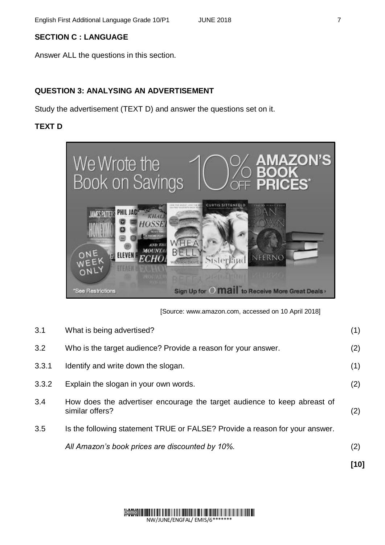# **SECTION C : LANGUAGE**

Answer ALL the questions in this section.

# **QUESTION 3: ANALYSING AN ADVERTISEMENT**

Study the advertisement (TEXT D) and answer the questions set on it.

# **TEXT D**



[Source: [www.amazon.com,](http://www.amazon.com/) accessed on 10 April 2018]

|       |                                                                                             | [10] |
|-------|---------------------------------------------------------------------------------------------|------|
|       | All Amazon's book prices are discounted by 10%.                                             | (2)  |
| 3.5   | Is the following statement TRUE or FALSE? Provide a reason for your answer.                 |      |
| 3.4   | How does the advertiser encourage the target audience to keep abreast of<br>similar offers? | (2)  |
| 3.3.2 | Explain the slogan in your own words.                                                       | (2)  |
| 3.3.1 | Identify and write down the slogan.                                                         | (1)  |
| 3.2   | Who is the target audience? Provide a reason for your answer.                               | (2)  |
| 3.1   | What is being advertised?                                                                   | (1)  |

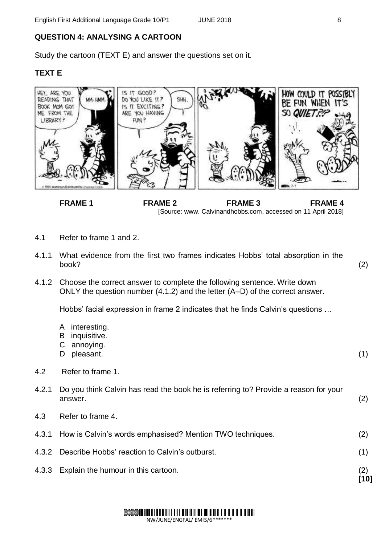# **QUESTION 4: ANALYSING A CARTOON**

Study the cartoon (TEXT E) and answer the questions set on it.

# **TEXT E**



**FRAME 1** FRAME 2 FRAME 3 FRAME 4 [Source: www. Calvinandhobbs.com, accessed on 11 April 2018]

- 4.1 Refer to frame 1 and 2.
- 4.1.1 What evidence from the first two frames indicates Hobbs' total absorption in the book?
- 4.1.2 Choose the correct answer to complete the following sentence. Write down ONLY the question number (4.1.2) and the letter (A–D) of the correct answer.

Hobbs' facial expression in frame 2 indicates that he finds Calvin's questions …

- A interesting.
- B inquisitive.
- C annoying.
- D pleasant.
- 4.2 Refer to frame 1.

| 4.2.1 Do you think Calvin has read the book he is referring to? Provide a reason for your |  |
|-------------------------------------------------------------------------------------------|--|
| answer.                                                                                   |  |

- 4.3 Refer to frame 4.
- 4.3.1 How is Calvin's words emphasised? Mention TWO techniques.
- 4.3.2 Describe Hobbs' reaction to Calvin's outburst.
- 4.3.3 Explain the humour in this cartoon.



(2)

(1)

(2)

(1)

(2) **[10]**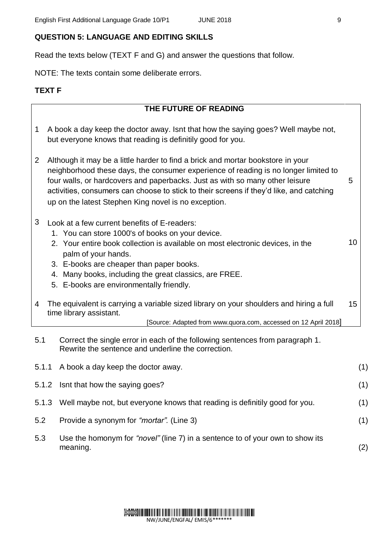## **QUESTION 5: LANGUAGE AND EDITING SKILLS**

Read the texts below (TEXT F and G) and answer the questions that follow.

NOTE: The texts contain some deliberate errors.

#### **TEXT F**

## **THE FUTURE OF READING**

- 1 A book a day keep the doctor away. Isnt that how the saying goes? Well maybe not, but everyone knows that reading is definitily good for you.
- 2 Although it may be a little harder to find a brick and mortar bookstore in your neighborhood these days, the consumer experience of reading is no longer limited to four walls, or hardcovers and paperbacks. Just as with so many other leisure activities, consumers can choose to stick to their screens if they'd like, and catching up on the latest [Stephen King](http://www.stephenking.com/index.html) novel is no exception. 5
- 3 Look at a few current benefits of E-readers:
	- 1. You can store 1000's of books on your device.
	- 2. Your entire book collection is available on most electronic devices, in the palm of your hands. 10
	- 3. E-books are cheaper than paper books.
	- 4. Many books, including the great classics, are FREE.
	- 5. E-books are environmentally friendly.
- 4 The equivalent is carrying a variable sized library on your shoulders and hiring a full time library assistant. 15

[Source: Adapted from [www.quora.com,](http://www.quora.com/) accessed on 12 April 2018]

5.1 Correct the single error in each of the following sentences from paragraph 1. Rewrite the sentence and underline the correction.

|     | 5.1.1 A book a day keep the doctor away.                                                           | (1) |
|-----|----------------------------------------------------------------------------------------------------|-----|
|     | 5.1.2 Isnt that how the saying goes?                                                               | (1) |
|     | 5.1.3 Well maybe not, but everyone knows that reading is definitily good for you.                  | (1) |
| 5.2 | Provide a synonym for " <i>mortar</i> ". (Line 3)                                                  | (1) |
| 5.3 | Use the homonym for " <i>novel</i> " (line 7) in a sentence to of your own to show its<br>meaning. | (2) |

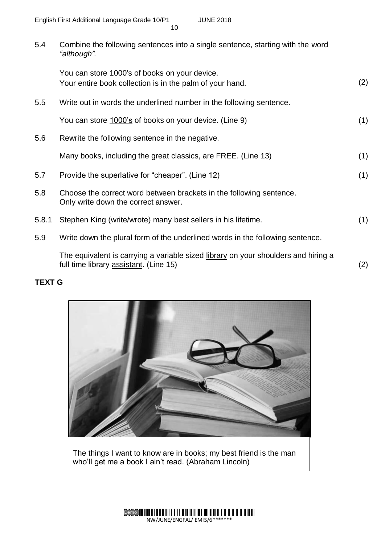5.4 Combine the following sentences into a single sentence, starting with the word *"although".*

|       | You can store 1000's of books on your device.<br>Your entire book collection is in the palm of your hand.  | (2) |
|-------|------------------------------------------------------------------------------------------------------------|-----|
| 5.5   | Write out in words the underlined number in the following sentence.                                        |     |
|       | You can store 1000's of books on your device. (Line 9)                                                     | (1) |
| 5.6   | Rewrite the following sentence in the negative.                                                            |     |
|       | Many books, including the great classics, are FREE. (Line 13)                                              | (1) |
| 5.7   | Provide the superlative for "cheaper". (Line 12)                                                           | (1) |
| 5.8   | Choose the correct word between brackets in the following sentence.<br>Only write down the correct answer. |     |
| 5.8.1 | Stephen King (write/wrote) many best sellers in his lifetime.                                              | (1) |
| 5.9   | Write down the plural form of the underlined words in the following sentence.                              |     |
|       | The equivalent is carrying a variable sized library on your shoulders and hiring a                         |     |

full time library <u>assistant</u>. (Line 15) (2)

# **TEXT G**



The things I want to know are in books; my best friend is the man who'll get me a book I ain't read. (Abraham Lincoln)